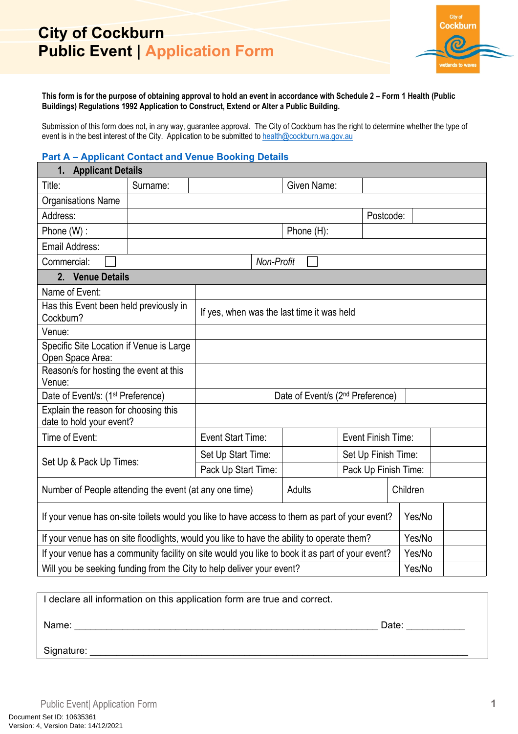

**This form is for the purpose of obtaining approval to hold an event in accordance with Schedule 2 – Form 1 Health (Public Buildings) Regulations 1992 Application to Construct, Extend or Alter a Public Building.**

Submission of this form does not, in any way, guarantee approval. The City of Cockburn has the right to determine whether the type of event is in the best interest of the City. Application to be submitted to [health@cockburn.wa.gov.au](mailto:health@cockburn.wa.gov.au)

#### **Part A – Applicant Contact and Venue Booking Details**

| 1. Applicant Details                                                                           |                                                                       |                                                                                                 |                                             |                                            |                    |                     |          |
|------------------------------------------------------------------------------------------------|-----------------------------------------------------------------------|-------------------------------------------------------------------------------------------------|---------------------------------------------|--------------------------------------------|--------------------|---------------------|----------|
| Title:                                                                                         | Surname:                                                              |                                                                                                 |                                             | Given Name:                                |                    |                     |          |
| <b>Organisations Name</b>                                                                      |                                                                       |                                                                                                 |                                             |                                            |                    |                     |          |
| Address:                                                                                       |                                                                       |                                                                                                 |                                             |                                            | Postcode:          |                     |          |
| Phone (W):                                                                                     |                                                                       |                                                                                                 |                                             | Phone (H):                                 |                    |                     |          |
| Email Address:                                                                                 |                                                                       |                                                                                                 |                                             |                                            |                    |                     |          |
| Commercial:                                                                                    |                                                                       |                                                                                                 | Non-Profit                                  |                                            |                    |                     |          |
| 2. Venue Details                                                                               |                                                                       |                                                                                                 |                                             |                                            |                    |                     |          |
| Name of Event:                                                                                 |                                                                       |                                                                                                 |                                             |                                            |                    |                     |          |
| Has this Event been held previously in<br>Cockburn?                                            |                                                                       |                                                                                                 |                                             | If yes, when was the last time it was held |                    |                     |          |
| Venue:                                                                                         |                                                                       |                                                                                                 |                                             |                                            |                    |                     |          |
| Specific Site Location if Venue is Large<br>Open Space Area:                                   |                                                                       |                                                                                                 |                                             |                                            |                    |                     |          |
| Reason/s for hosting the event at this<br>Venue:                                               |                                                                       |                                                                                                 |                                             |                                            |                    |                     |          |
| Date of Event/s: (1 <sup>st</sup> Preference)                                                  |                                                                       | Date of Event/s (2 <sup>nd</sup> Preference)                                                    |                                             |                                            |                    |                     |          |
| Explain the reason for choosing this<br>date to hold your event?                               |                                                                       |                                                                                                 |                                             |                                            |                    |                     |          |
| Time of Event:                                                                                 |                                                                       | Event Start Time:                                                                               |                                             |                                            | Event Finish Time: |                     |          |
|                                                                                                |                                                                       | Set Up Start Time:                                                                              |                                             |                                            |                    | Set Up Finish Time: |          |
| Set Up & Pack Up Times:                                                                        |                                                                       |                                                                                                 | Pack Up Start Time:<br>Pack Up Finish Time: |                                            |                    |                     |          |
| Number of People attending the event (at any one time)                                         |                                                                       |                                                                                                 |                                             | Adults                                     |                    |                     | Children |
| If your venue has on-site toilets would you like to have access to them as part of your event? |                                                                       |                                                                                                 |                                             |                                            |                    |                     | Yes/No   |
|                                                                                                |                                                                       | If your venue has on site floodlights, would you like to have the ability to operate them?      |                                             |                                            | Yes/No             |                     |          |
|                                                                                                |                                                                       | If your venue has a community facility on site would you like to book it as part of your event? |                                             |                                            | Yes/No             |                     |          |
|                                                                                                | Will you be seeking funding from the City to help deliver your event? |                                                                                                 |                                             | Yes/No                                     |                    |                     |          |

| I declare all information on this application form are true and correct. |       |
|--------------------------------------------------------------------------|-------|
| Name:                                                                    | Date: |
| Signature:                                                               |       |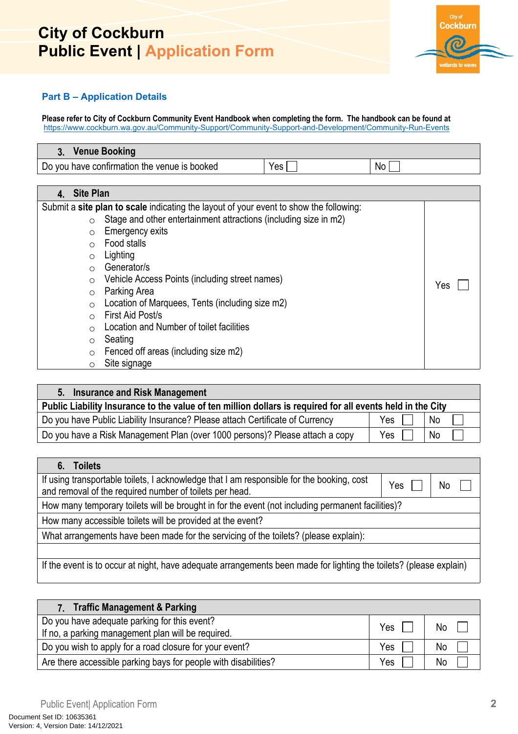

### **Part B – Application Details**

**Please refer to City of Cockburn Community Event Handbook when completing the form. The handbook can be found at** <https://www.cockburn.wa.gov.au/Community-Support/Community-Support-and-Development/Community-Run-Events>

| <b>Venue Booking</b>                         |                  |    |
|----------------------------------------------|------------------|----|
| Do you have confirmation the venue is booked | Yes <sub>1</sub> | No |

#### **4. Site Plan**

| <b>Site Plan</b> |                                                                                        |     |
|------------------|----------------------------------------------------------------------------------------|-----|
|                  | Submit a site plan to scale indicating the layout of your event to show the following: |     |
| O                | Stage and other entertainment attractions (including size in m2)                       |     |
| $\circ$          | <b>Emergency exits</b>                                                                 |     |
| $\bigcirc$       | Food stalls                                                                            |     |
| $\circ$          | Lighting                                                                               |     |
| $\bigcirc$       | Generator/s                                                                            |     |
| $\circ$          | Vehicle Access Points (including street names)                                         | Yes |
| $\circ$          | Parking Area                                                                           |     |
| $\circ$          | Location of Marquees, Tents (including size m2)                                        |     |
| $\bigcirc$       | First Aid Post/s                                                                       |     |
| O                | Location and Number of toilet facilities                                               |     |
| O                | Seating                                                                                |     |
| O                | Fenced off areas (including size m2)                                                   |     |
| O                | Site signage                                                                           |     |

| 5. Insurance and Risk Management                                                                           |     |           |
|------------------------------------------------------------------------------------------------------------|-----|-----------|
| Public Liability Insurance to the value of ten million dollars is required for all events held in the City |     |           |
| Do you have Public Liability Insurance? Please attach Certificate of Currency                              | Yes | <b>No</b> |
| Do you have a Risk Management Plan (over 1000 persons)? Please attach a copy                               | Yes | <b>No</b> |

| 6. Toilets                                                                                                                                           |     |    |
|------------------------------------------------------------------------------------------------------------------------------------------------------|-----|----|
| If using transportable toilets, I acknowledge that I am responsible for the booking, cost<br>and removal of the required number of toilets per head. | Yes | No |
| How many temporary toilets will be brought in for the event (not including permanent facilities)?                                                    |     |    |
| How many accessible toilets will be provided at the event?                                                                                           |     |    |
| What arrangements have been made for the servicing of the toilets? (please explain):                                                                 |     |    |
|                                                                                                                                                      |     |    |
| If the event is to occur at night, have adequate arrangements been made for lighting the toilets? (please explain)                                   |     |    |

| 7. Traffic Management & Parking                                                                    |     |    |
|----------------------------------------------------------------------------------------------------|-----|----|
| Do you have adequate parking for this event?<br>If no, a parking management plan will be required. | Yes | No |
| Do you wish to apply for a road closure for your event?                                            | Yes | No |
| Are there accessible parking bays for people with disabilities?                                    | Yes | No |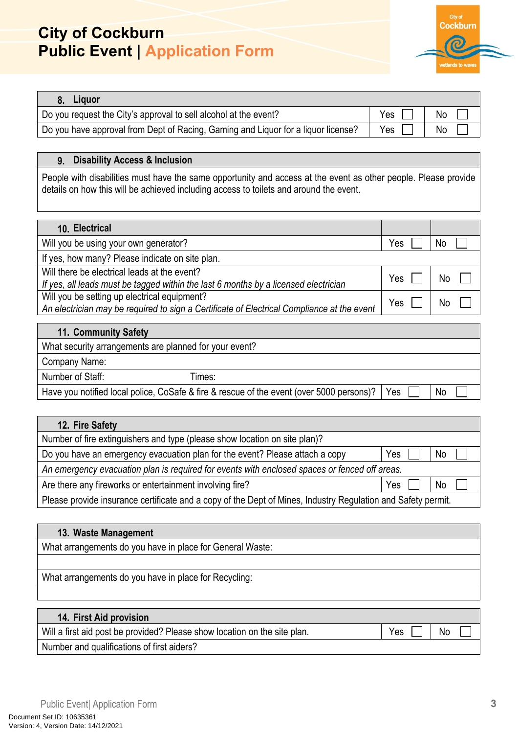

| 8. Liquor                                                                         |       |                |
|-----------------------------------------------------------------------------------|-------|----------------|
| Do you request the City's approval to sell alcohol at the event?                  | $Yes$ | N <sub>o</sub> |
| Do you have approval from Dept of Racing, Gaming and Liquor for a liquor license? | Yes   | No.            |

#### **9. Disability Access & Inclusion**

People with disabilities must have the same opportunity and access at the event as other people. Please provide details on how this will be achieved including access to toilets and around the event.

| 10. Electrical                                                                                                                             |     |    |
|--------------------------------------------------------------------------------------------------------------------------------------------|-----|----|
| Will you be using your own generator?                                                                                                      | Yes | No |
| If yes, how many? Please indicate on site plan.                                                                                            |     |    |
| Will there be electrical leads at the event?<br>If yes, all leads must be tagged within the last 6 months by a licensed electrician        | Yes | No |
| Will you be setting up electrical equipment?<br>An electrician may be required to sign a Certificate of Electrical Compliance at the event | Yes | No |
| 11. Community Safety                                                                                                                       |     |    |
| What coourity arrangements are planned for your ovent?                                                                                     |     |    |

|                  | What security arrangements are planned for your event?                                   |     |           |  |
|------------------|------------------------------------------------------------------------------------------|-----|-----------|--|
| Company Name:    |                                                                                          |     |           |  |
| Number of Staff: | ⊺imes:                                                                                   |     |           |  |
|                  | Have you notified local police, CoSafe & fire & rescue of the event (over 5000 persons)? | Yes | <b>No</b> |  |

| 12. Fire Safety                                                                                              |     |                |  |
|--------------------------------------------------------------------------------------------------------------|-----|----------------|--|
| Number of fire extinguishers and type (please show location on site plan)?                                   |     |                |  |
| Do you have an emergency evacuation plan for the event? Please attach a copy                                 | Yes | N <sub>o</sub> |  |
| An emergency evacuation plan is required for events with enclosed spaces or fenced off areas.                |     |                |  |
| Are there any fireworks or entertainment involving fire?                                                     | Yes | No             |  |
| Please provide insurance certificate and a copy of the Dept of Mines, Industry Regulation and Safety permit. |     |                |  |

| 13. Waste Management                                      |
|-----------------------------------------------------------|
| What arrangements do you have in place for General Waste: |
|                                                           |
| What arrangements do you have in place for Recycling:     |
|                                                           |

| <b>14. First Aid provision</b>                                            |     |           |
|---------------------------------------------------------------------------|-----|-----------|
| Will a first aid post be provided? Please show location on the site plan. | Yes | <b>No</b> |
| Number and qualifications of first aiders?                                |     |           |